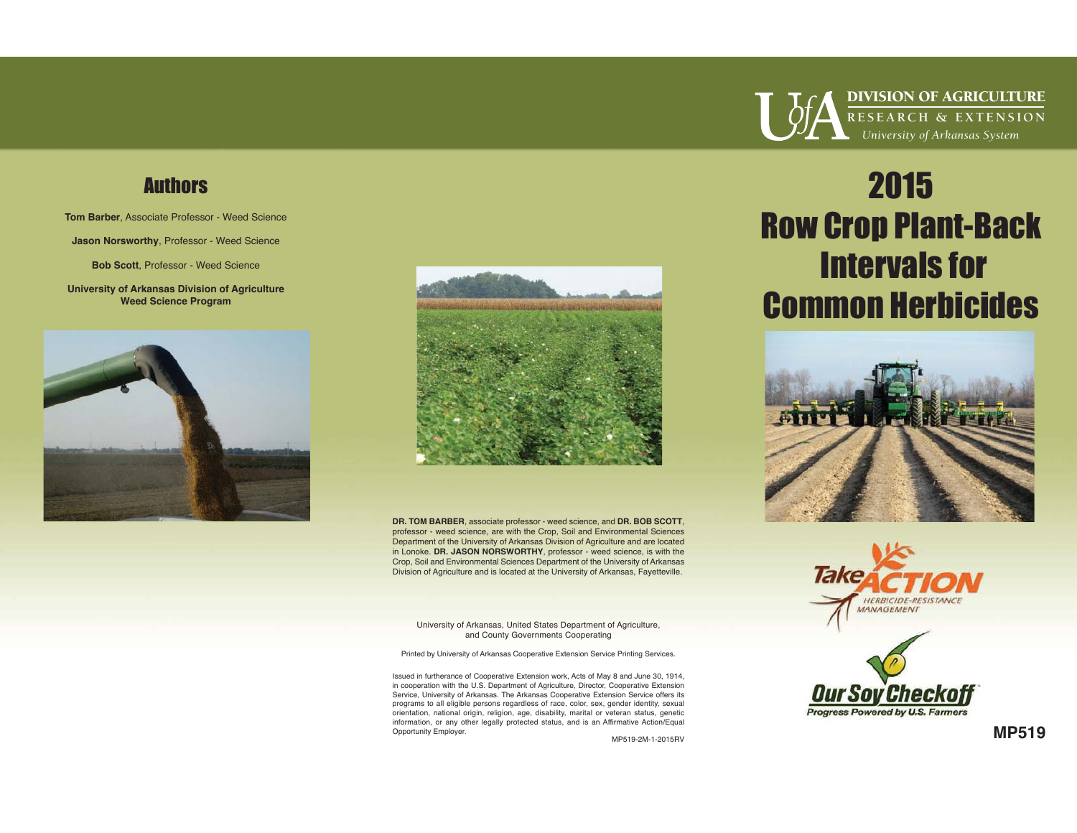## **Authors**

**Tom Barber**, Associate Professor - Weed Science

**Jason Norsworthy**, Professor - Weed Science

**Bob Scott**, Professor - Weed Science

**University of Arkansas Division of Agriculture Weed Science Program** 





**DR. TOM BARBER**, associate professor - weed science, and **DR. BOB SCOTT**, professor - weed science, are with the Crop, Soil and Environmental Sciences Department of the University of Arkansas Division of Agriculture and are located in Lonoke. **DR. JASON NORSWORTHY**, professor - weed science, is with the Crop, Soil and Environmental Sciences Department of the University of Arkansas Division of Agriculture and is located at the University of Arkansas, Fayetteville.

University of Arkansas, United States Department of Agriculture, and County Governments Cooperating

Printed by University of Arkansas Cooperative Extension Service Printing Services.

Issued in furtherance of Cooperative Extension work, Acts of May 8 and June 30, 1914, in cooperation with the U.S. Department of Agriculture, Director, Cooperative Extension Service, University of Arkansas. The Arkansas Cooperative Extension Service offers its programs to all eligible persons regardless of race, color, sex, gender identity, sexual orientation, national origin, religion, age, disability, marital or veteran status, genetic information, or any other legally protected status, and is an Affirmative Action/Equal Opportunity Employer.

MP519-2M-1-2015RV



DIVISION OF AGRICULTURE **RESEARCH & EXTENSION**  *University of Arkansas System* 

## 2015 Row Crop Plant-Back Intervals for Common Herbicides







**MP519**